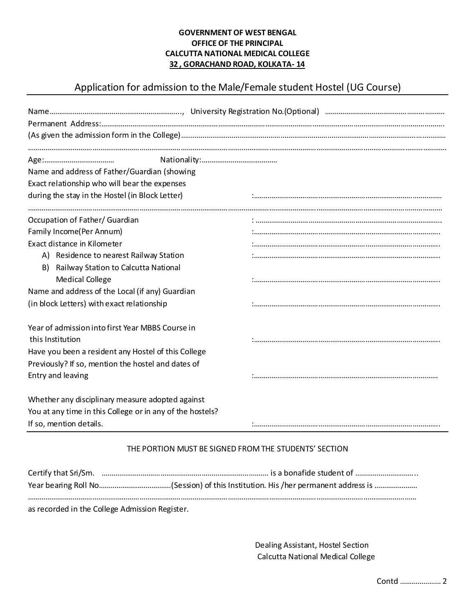## **GOVERNMENT OF WEST BENGAL OFFICE OF THE PRINCIPAL CALCUTTA NATIONAL MEDICAL COLLEGE 32 , GORACHAND ROAD, KOLKATA- 14**

# Application for admission to the Male/Female student Hostel (UG Course)

| Name and address of Father/Guardian (showing                         |  |
|----------------------------------------------------------------------|--|
| Exact relationship who will bear the expenses                        |  |
| during the stay in the Hostel (in Block Letter)                      |  |
| Occupation of Father/ Guardian                                       |  |
| Family Income(Per Annum)                                             |  |
| Exact distance in Kilometer                                          |  |
| A) Residence to nearest Railway Station                              |  |
| B) Railway Station to Calcutta National                              |  |
| <b>Medical College</b>                                               |  |
| Name and address of the Local (if any) Guardian                      |  |
| (in block Letters) with exact relationship                           |  |
| Year of admission into first Year MBBS Course in<br>this Institution |  |
| Have you been a resident any Hostel of this College                  |  |
| Previously? If so, mention the hostel and dates of                   |  |
| Entry and leaving                                                    |  |
| Whether any disciplinary measure adopted against                     |  |
| You at any time in this College or in any of the hostels?            |  |
| If so, mention details.                                              |  |

## THE PORTION MUST BE SIGNED FROM THE STUDENTS' SECTION

| in a constant in the Callege Administration Deptator |
|------------------------------------------------------|

as recorded in the College Admission Register.

 Dealing Assistant, Hostel Section Calcutta National Medical College